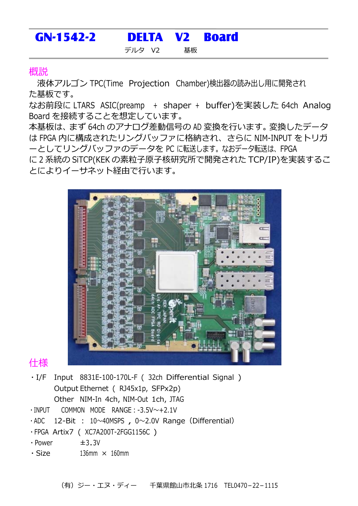## GN-1542-2 DELTA V2 Board デルタ V2 基板

## 概説

液体アルゴン TPC(Time Projection Chamber)検出器の読み出し用に開発され た基板です。

なお前段に LTARS ASIC(preamp + shaper + buffer)を実装した 64ch Analog Board を接続することを想定しています。

本基板は、まず 64ch のアナログ差動信号の AD 変換を行います。変換したデータ は FPGA 内に構成されたリングバッファに格納され、さらに NIM-INPUT をトリガ ーとしてリングバッファのデータを PC に転送します。なおデータ転送は、FPGA

に2系統の SiTCP(KEK の素粒子原子核研究所で開発された TCP/IP)を実装するこ とによりイーサネット経由で⾏います。



## 仕様

- ・I/F Input 8831E-100-170L-F ( 32ch Differential Signal ) Output Ethernet ( RJ45x1p, SFPx2p) Other NIM-In 4ch, NIM-Out 1ch, JTAG
- ・INPUT COMMON MODE RANGE:-3.5V〜+2.1V
- $\cdot$  ADC 12-Bit : 10~40MSPS , 0~2.0V Range (Differential)
- ・FPGA Artix7 ( XC7A200T-2FGG1156C )
- $\cdot$  Power  $\pm$ 3.3V
- $\cdot$  Size 136mm  $\times$  160mm

(有)ジー・エヌ・ディー 千葉県館⼭市北条 1716 TEL0470-22-1115